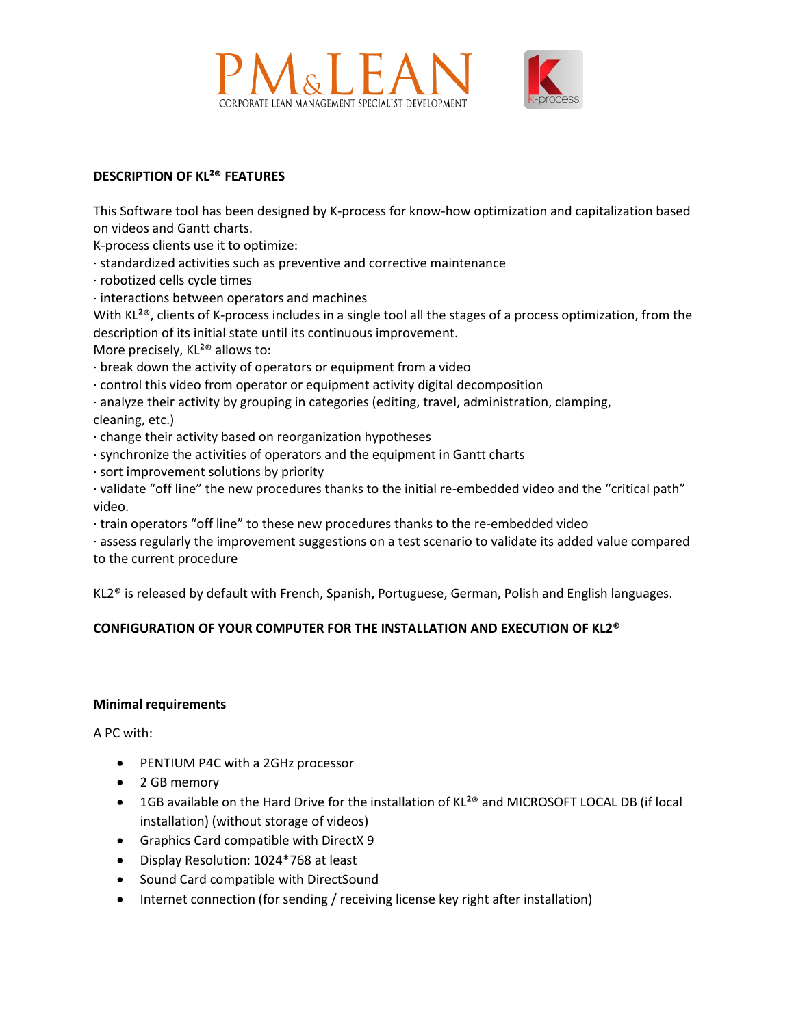



## **DESCRIPTION OF KL²® FEATURES**

This Software tool has been designed by K-process for know-how optimization and capitalization based on videos and Gantt charts.

K-process clients use it to optimize:

- · standardized activities such as preventive and corrective maintenance
- · robotized cells cycle times
- · interactions between operators and machines

With KL<sup>2®</sup>, clients of K-process includes in a single tool all the stages of a process optimization, from the description of its initial state until its continuous improvement.

More precisely, KL<sup>2®</sup> allows to:

- · break down the activity of operators or equipment from a video
- · control this video from operator or equipment activity digital decomposition
- · analyze their activity by grouping in categories (editing, travel, administration, clamping, cleaning, etc.)
- · change their activity based on reorganization hypotheses
- · synchronize the activities of operators and the equipment in Gantt charts
- · sort improvement solutions by priority
- · validate "off line" the new procedures thanks to the initial re-embedded video and the "critical path" video.
- · train operators "off line" to these new procedures thanks to the re-embedded video
- · assess regularly the improvement suggestions on a test scenario to validate its added value compared to the current procedure

KL2® is released by default with French, Spanish, Portuguese, German, Polish and English languages.

# **CONFIGURATION OF YOUR COMPUTER FOR THE INSTALLATION AND EXECUTION OF KL2®**

### **Minimal requirements**

A PC with:

- PENTIUM P4C with a 2GHz processor
- 2 GB memory
- 1GB available on the Hard Drive for the installation of KL<sup>2®</sup> and MICROSOFT LOCAL DB (if local installation) (without storage of videos)
- Graphics Card compatible with DirectX 9
- Display Resolution: 1024\*768 at least
- Sound Card compatible with DirectSound
- Internet connection (for sending / receiving license key right after installation)